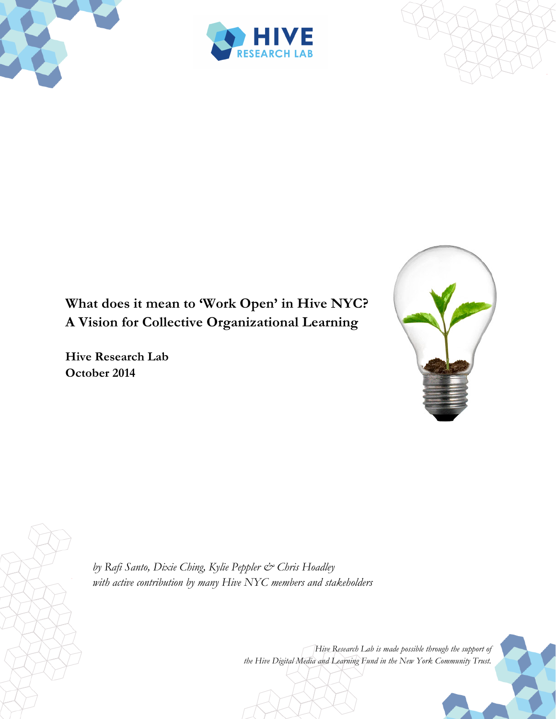





# **What does it mean to 'Work Open' in Hive NYC? A Vision for Collective Organizational Learning**

**Hive Research Lab October 2014**



*by Rafi Santo, Dixie Ching, Kylie Peppler & Chris Hoadley with active contribution by many Hive NYC members and stakeholders*

> *Hive Research Lab is made possible through the support of the Hive Digital Media and Learning Fund in the New York Community Trust.*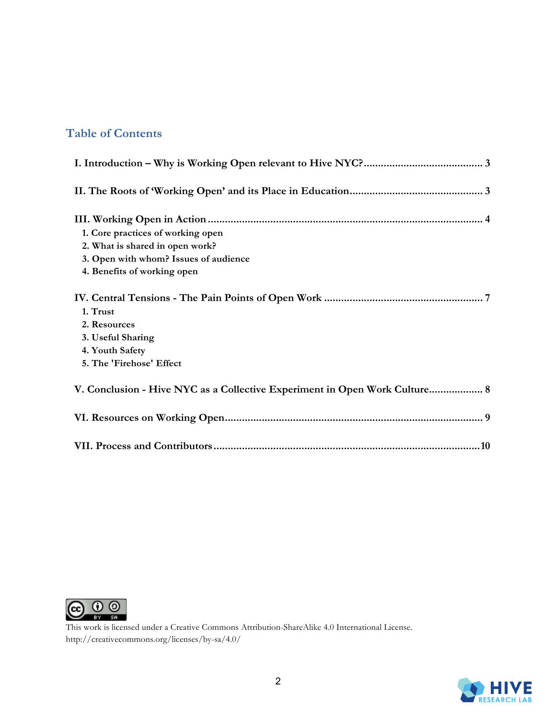### **Table of Contents**

| 1. Core practices of working open                                          |
|----------------------------------------------------------------------------|
| 2. What is shared in open work?                                            |
| 3. Open with whom? Issues of audience                                      |
| 4. Benefits of working open                                                |
|                                                                            |
| 1. Trust                                                                   |
| 2. Resources                                                               |
| 3. Useful Sharing                                                          |
| 4. Youth Safety                                                            |
| 5. The 'Firehose' Effect                                                   |
| V. Conclusion - Hive NYC as a Collective Experiment in Open Work Culture 8 |
|                                                                            |
|                                                                            |



This work is licensed under a Creative Commons Attribution-ShareAlike 4.0 International License. http://creativecommons.org/licenses/by-sa/4.0/

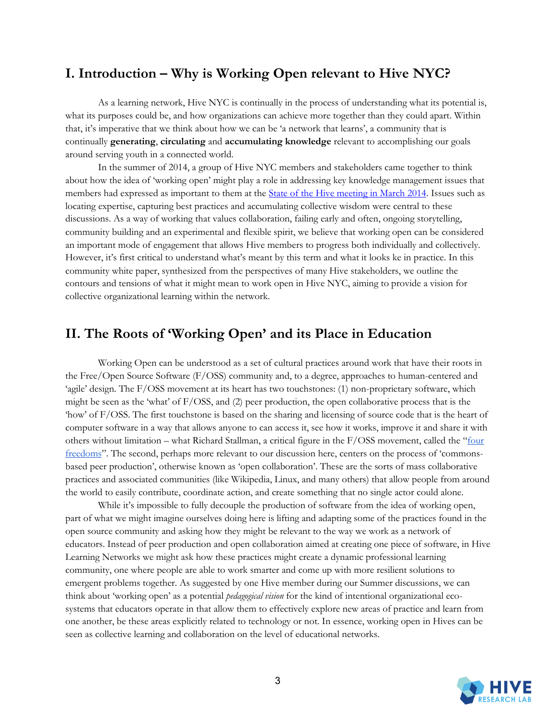### **I. Introduction – Why is Working Open relevant to Hive NYC?**

 As a learning network, Hive NYC is continually in the process of understanding what its potential is, what its purposes could be, and how organizations can achieve more together than they could apart. Within that, it's imperative that we think about how we can be 'a network that learns', a community that is continually **generating**, **circulating** and **accumulating knowledge** relevant to accomplishing our goals around serving youth in a connected world.

In the summer of 2014, a group of Hive NYC members and stakeholders came together to think about how the idea of 'working open' might play a role in addressing key knowledge management issues that members had expressed as important to them at the [State of the Hive meeting in March 2014.](http://hivenyc.org/2014/04/18/state-hive-2014/) Issues such as locating expertise, capturing best practices and accumulating collective wisdom were central to these discussions. As a way of working that values collaboration, failing early and often, ongoing storytelling, community building and an experimental and flexible spirit, we believe that working open can be considered an important mode of engagement that allows Hive members to progress both individually and collectively. However, it's first critical to understand what's meant by this term and what it looks ke in practice. In this community white paper, synthesized from the perspectives of many Hive stakeholders, we outline the contours and tensions of what it might mean to work open in Hive NYC, aiming to provide a vision for collective organizational learning within the network.

### **II. The Roots of 'Working Open' and its Place in Education**

 Working Open can be understood as a set of cultural practices around work that have their roots in the Free/Open Source Software (F/OSS) community and, to a degree, approaches to human-centered and 'agile' design. The F/OSS movement at its heart has two touchstones: (1) non-proprietary software, which might be seen as the 'what' of F/OSS, and (2) peer production, the open collaborative process that is the 'how' of F/OSS. The first touchstone is based on the sharing and licensing of source code that is the heart of computer software in a way that allows anyone to can access it, see how it works, improve it and share it with others without limitation – what Richard Stallman, a critical figure in the F/OSS movement, called the "[four](http://www.gnu.org/philosophy/free-sw.html)  [freedoms](http://www.gnu.org/philosophy/free-sw.html)". The second, perhaps more relevant to our discussion here, centers on the process of 'commonsbased peer production', otherwise known as 'open collaboration'. These are the sorts of mass collaborative practices and associated communities (like Wikipedia, Linux, and many others) that allow people from around the world to easily contribute, coordinate action, and create something that no single actor could alone.

While it's impossible to fully decouple the production of software from the idea of working open, part of what we might imagine ourselves doing here is lifting and adapting some of the practices found in the open source community and asking how they might be relevant to the way we work as a network of educators. Instead of peer production and open collaboration aimed at creating one piece of software, in Hive Learning Networks we might ask how these practices might create a dynamic professional learning community, one where people are able to work smarter and come up with more resilient solutions to emergent problems together. As suggested by one Hive member during our Summer discussions, we can think about 'working open' as a potential *pedagogical vision* for the kind of intentional organizational ecosystems that educators operate in that allow them to effectively explore new areas of practice and learn from one another, be these areas explicitly related to technology or not. In essence, working open in Hives can be seen as collective learning and collaboration on the level of educational networks.

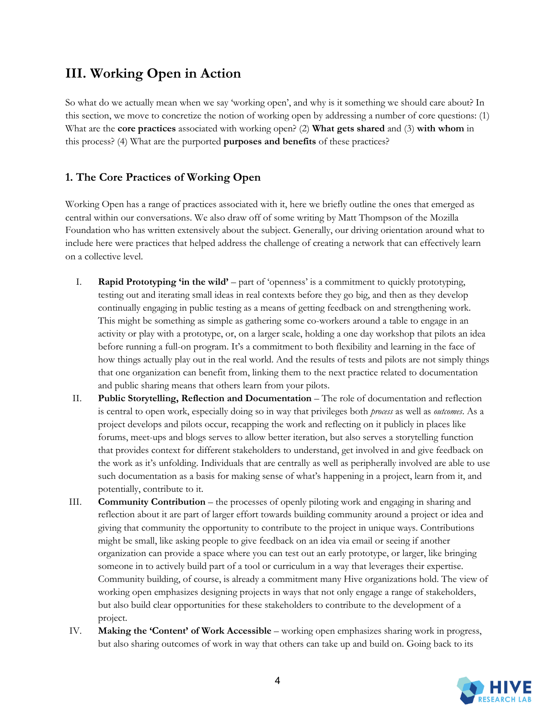## **III. Working Open in Action**

So what do we actually mean when we say 'working open', and why is it something we should care about? In this section, we move to concretize the notion of working open by addressing a number of core questions: (1) What are the **core practices** associated with working open? (2) **What gets shared** and (3) **with whom** in this process? (4) What are the purported **purposes and benefits** of these practices?

#### **1. The Core Practices of Working Open**

Working Open has a range of practices associated with it, here we briefly outline the ones that emerged as central within our conversations. We also draw off of some writing by Matt Thompson of the Mozilla Foundation who has written extensively about the subject. Generally, our driving orientation around what to include here were practices that helped address the challenge of creating a network that can effectively learn on a collective level.

- I. **Rapid Prototyping 'in the wild'** part of 'openness' is a commitment to quickly prototyping, testing out and iterating small ideas in real contexts before they go big, and then as they develop continually engaging in public testing as a means of getting feedback on and strengthening work. This might be something as simple as gathering some co-workers around a table to engage in an activity or play with a prototype, or, on a larger scale, holding a one day workshop that pilots an idea before running a full-on program. It's a commitment to both flexibility and learning in the face of how things actually play out in the real world. And the results of tests and pilots are not simply things that one organization can benefit from, linking them to the next practice related to documentation and public sharing means that others learn from your pilots.
- II. **Public Storytelling, Reflection and Documentation** The role of documentation and reflection is central to open work, especially doing so in way that privileges both *process* as well as *outcomes*. As a project develops and pilots occur, recapping the work and reflecting on it publicly in places like forums, meet-ups and blogs serves to allow better iteration, but also serves a storytelling function that provides context for different stakeholders to understand, get involved in and give feedback on the work as it's unfolding. Individuals that are centrally as well as peripherally involved are able to use such documentation as a basis for making sense of what's happening in a project, learn from it, and potentially, contribute to it.
- III. **Community Contribution** the processes of openly piloting work and engaging in sharing and reflection about it are part of larger effort towards building community around a project or idea and giving that community the opportunity to contribute to the project in unique ways. Contributions might be small, like asking people to give feedback on an idea via email or seeing if another organization can provide a space where you can test out an early prototype, or larger, like bringing someone in to actively build part of a tool or curriculum in a way that leverages their expertise. Community building, of course, is already a commitment many Hive organizations hold. The view of working open emphasizes designing projects in ways that not only engage a range of stakeholders, but also build clear opportunities for these stakeholders to contribute to the development of a project.
- IV. **Making the 'Content' of Work Accessible**  working open emphasizes sharing work in progress, but also sharing outcomes of work in way that others can take up and build on. Going back to its

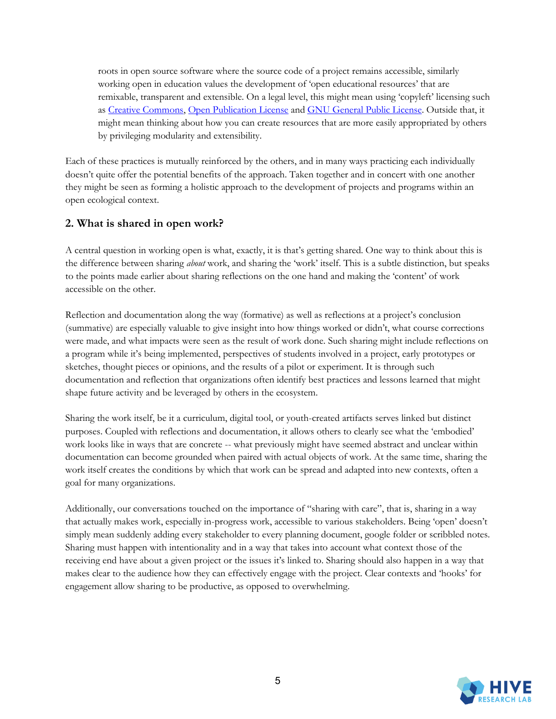roots in open source software where the source code of a project remains accessible, similarly working open in education values the development of 'open educational resources' that are remixable, transparent and extensible. On a legal level, this might mean using 'copyleft' licensing such as [Creative Commons,](http://creativecommons.org/choose/) [Open Publication License](http://opencontent.org/openpub/) an[d GNU General Public License.](http://www.gnu.org/copyleft/gpl.html) Outside that, it might mean thinking about how you can create resources that are more easily appropriated by others by privileging modularity and extensibility.

Each of these practices is mutually reinforced by the others, and in many ways practicing each individually doesn't quite offer the potential benefits of the approach. Taken together and in concert with one another they might be seen as forming a holistic approach to the development of projects and programs within an open ecological context.

#### **2. What is shared in open work?**

A central question in working open is what, exactly, it is that's getting shared. One way to think about this is the difference between sharing *about* work, and sharing the 'work' itself. This is a subtle distinction, but speaks to the points made earlier about sharing reflections on the one hand and making the 'content' of work accessible on the other.

Reflection and documentation along the way (formative) as well as reflections at a project's conclusion (summative) are especially valuable to give insight into how things worked or didn't, what course corrections were made, and what impacts were seen as the result of work done. Such sharing might include reflections on a program while it's being implemented, perspectives of students involved in a project, early prototypes or sketches, thought pieces or opinions, and the results of a pilot or experiment. It is through such documentation and reflection that organizations often identify best practices and lessons learned that might shape future activity and be leveraged by others in the ecosystem.

Sharing the work itself, be it a curriculum, digital tool, or youth-created artifacts serves linked but distinct purposes. Coupled with reflections and documentation, it allows others to clearly see what the 'embodied' work looks like in ways that are concrete -- what previously might have seemed abstract and unclear within documentation can become grounded when paired with actual objects of work. At the same time, sharing the work itself creates the conditions by which that work can be spread and adapted into new contexts, often a goal for many organizations.

Additionally, our conversations touched on the importance of "sharing with care", that is, sharing in a way that actually makes work, especially in-progress work, accessible to various stakeholders. Being 'open' doesn't simply mean suddenly adding every stakeholder to every planning document, google folder or scribbled notes. Sharing must happen with intentionality and in a way that takes into account what context those of the receiving end have about a given project or the issues it's linked to. Sharing should also happen in a way that makes clear to the audience how they can effectively engage with the project. Clear contexts and 'hooks' for engagement allow sharing to be productive, as opposed to overwhelming.

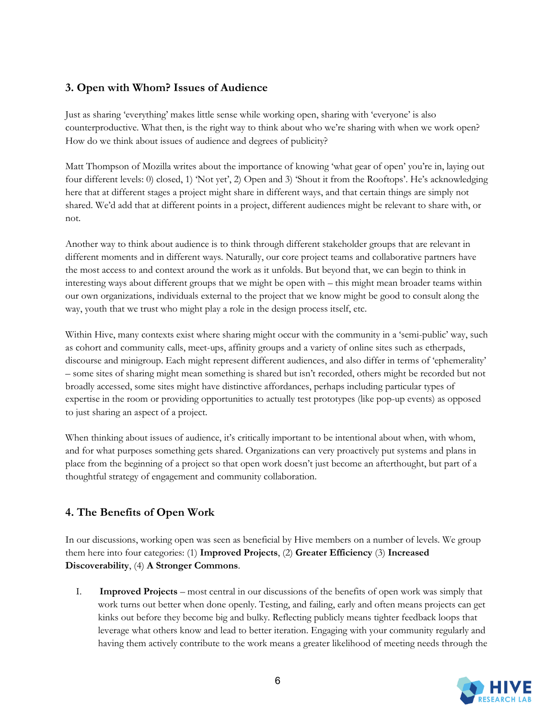#### **3. Open with Whom? Issues of Audience**

Just as sharing 'everything' makes little sense while working open, sharing with 'everyone' is also counterproductive. What then, is the right way to think about who we're sharing with when we work open? How do we think about issues of audience and degrees of publicity?

Matt Thompson of Mozilla writes about the importance of knowing 'what gear of open' you're in, laying out four different levels: 0) closed, 1) 'Not yet', 2) Open and 3) 'Shout it from the Rooftops'. He's acknowledging here that at different stages a project might share in different ways, and that certain things are simply not shared. We'd add that at different points in a project, different audiences might be relevant to share with, or not.

Another way to think about audience is to think through different stakeholder groups that are relevant in different moments and in different ways. Naturally, our core project teams and collaborative partners have the most access to and context around the work as it unfolds. But beyond that, we can begin to think in interesting ways about different groups that we might be open with – this might mean broader teams within our own organizations, individuals external to the project that we know might be good to consult along the way, youth that we trust who might play a role in the design process itself, etc.

Within Hive, many contexts exist where sharing might occur with the community in a 'semi-public' way, such as cohort and community calls, meet-ups, affinity groups and a variety of online sites such as etherpads, discourse and minigroup. Each might represent different audiences, and also differ in terms of 'ephemerality' – some sites of sharing might mean something is shared but isn't recorded, others might be recorded but not broadly accessed, some sites might have distinctive affordances, perhaps including particular types of expertise in the room or providing opportunities to actually test prototypes (like pop-up events) as opposed to just sharing an aspect of a project.

When thinking about issues of audience, it's critically important to be intentional about when, with whom, and for what purposes something gets shared. Organizations can very proactively put systems and plans in place from the beginning of a project so that open work doesn't just become an afterthought, but part of a thoughtful strategy of engagement and community collaboration.

#### **4. The Benefits of Open Work**

In our discussions, working open was seen as beneficial by Hive members on a number of levels. We group them here into four categories: (1) **Improved Projects**, (2) **Greater Efficiency** (3) **Increased Discoverability**, (4) **A Stronger Commons**.

I. **Improved Projects** – most central in our discussions of the benefits of open work was simply that work turns out better when done openly. Testing, and failing, early and often means projects can get kinks out before they become big and bulky. Reflecting publicly means tighter feedback loops that leverage what others know and lead to better iteration. Engaging with your community regularly and having them actively contribute to the work means a greater likelihood of meeting needs through the

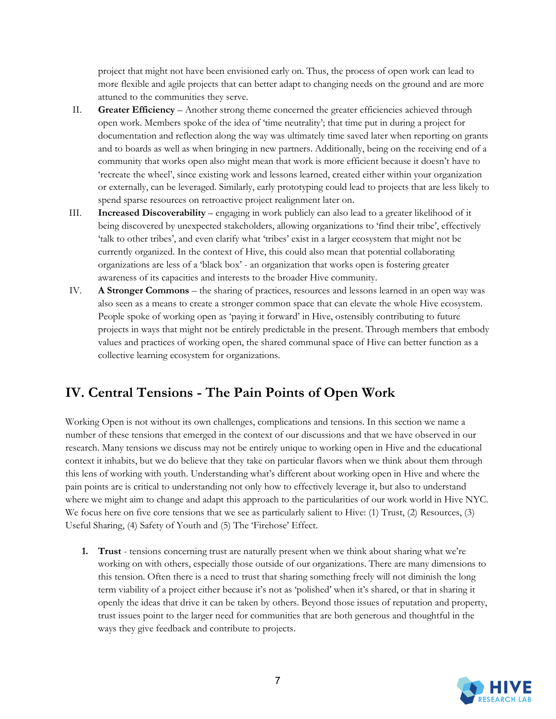project that might not have been envisioned early on. Thus, the process of open work can lead to more flexible and agile projects that can better adapt to changing needs on the ground and are more attuned to the communities they serve.

- II. **Greater Efficiency**  Another strong theme concerned the greater efficiencies achieved through open work. Members spoke of the idea of 'time neutrality'; that time put in during a project for documentation and reflection along the way was ultimately time saved later when reporting on grants and to boards as well as when bringing in new partners. Additionally, being on the receiving end of a community that works open also might mean that work is more efficient because it doesn't have to 'recreate the wheel', since existing work and lessons learned, created either within your organization or externally, can be leveraged. Similarly, early prototyping could lead to projects that are less likely to spend sparse resources on retroactive project realignment later on.
- III. **Increased Discoverability**  engaging in work publicly can also lead to a greater likelihood of it being discovered by unexpected stakeholders, allowing organizations to 'find their tribe', effectively 'talk to other tribes', and even clarify what 'tribes' exist in a larger ecosystem that might not be currently organized. In the context of Hive, this could also mean that potential collaborating organizations are less of a 'black box' - an organization that works open is fostering greater awareness of its capacities and interests to the broader Hive community.
- IV. **A Stronger Commons** the sharing of practices, resources and lessons learned in an open way was also seen as a means to create a stronger common space that can elevate the whole Hive ecosystem. People spoke of working open as 'paying it forward' in Hive, ostensibly contributing to future projects in ways that might not be entirely predictable in the present. Through members that embody values and practices of working open, the shared communal space of Hive can better function as a collective learning ecosystem for organizations.

## **IV. Central Tensions - The Pain Points of Open Work**

Working Open is not without its own challenges, complications and tensions. In this section we name a number of these tensions that emerged in the context of our discussions and that we have observed in our research. Many tensions we discuss may not be entirely unique to working open in Hive and the educational context it inhabits, but we do believe that they take on particular flavors when we think about them through this lens of working with youth. Understanding what's different about working open in Hive and where the pain points are is critical to understanding not only how to effectively leverage it, but also to understand where we might aim to change and adapt this approach to the particularities of our work world in Hive NYC. We focus here on five core tensions that we see as particularly salient to Hive: (1) Trust, (2) Resources, (3) Useful Sharing, (4) Safety of Youth and (5) The 'Firehose' Effect.

**1. Trust** - tensions concerning trust are naturally present when we think about sharing what we're working on with others, especially those outside of our organizations. There are many dimensions to this tension. Often there is a need to trust that sharing something freely will not diminish the long term viability of a project either because it's not as 'polished' when it's shared, or that in sharing it openly the ideas that drive it can be taken by others. Beyond those issues of reputation and property, trust issues point to the larger need for communities that are both generous and thoughtful in the ways they give feedback and contribute to projects.

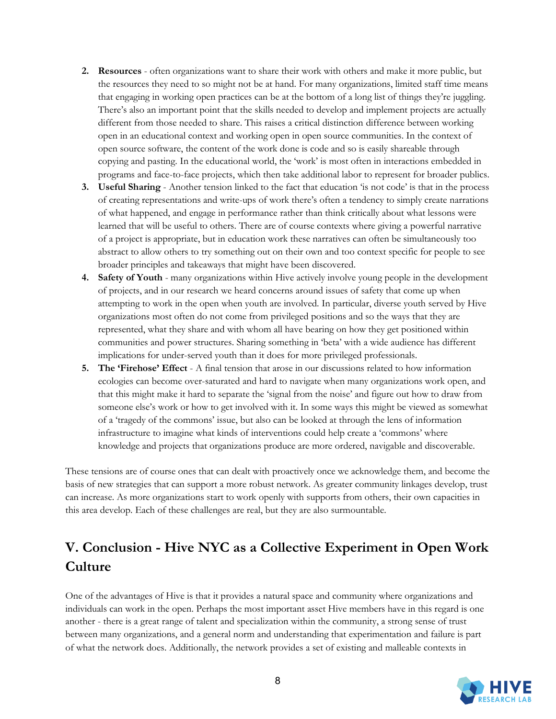- **2. Resources** often organizations want to share their work with others and make it more public, but the resources they need to so might not be at hand. For many organizations, limited staff time means that engaging in working open practices can be at the bottom of a long list of things they're juggling. There's also an important point that the skills needed to develop and implement projects are actually different from those needed to share. This raises a critical distinction difference between working open in an educational context and working open in open source communities. In the context of open source software, the content of the work done is code and so is easily shareable through copying and pasting. In the educational world, the 'work' is most often in interactions embedded in programs and face-to-face projects, which then take additional labor to represent for broader publics.
- **3. Useful Sharing** Another tension linked to the fact that education 'is not code' is that in the process of creating representations and write-ups of work there's often a tendency to simply create narrations of what happened, and engage in performance rather than think critically about what lessons were learned that will be useful to others. There are of course contexts where giving a powerful narrative of a project is appropriate, but in education work these narratives can often be simultaneously too abstract to allow others to try something out on their own and too context specific for people to see broader principles and takeaways that might have been discovered.
- **4. Safety of Youth** many organizations within Hive actively involve young people in the development of projects, and in our research we heard concerns around issues of safety that come up when attempting to work in the open when youth are involved. In particular, diverse youth served by Hive organizations most often do not come from privileged positions and so the ways that they are represented, what they share and with whom all have bearing on how they get positioned within communities and power structures. Sharing something in 'beta' with a wide audience has different implications for under-served youth than it does for more privileged professionals.
- **5. The 'Firehose' Effect** A final tension that arose in our discussions related to how information ecologies can become over-saturated and hard to navigate when many organizations work open, and that this might make it hard to separate the 'signal from the noise' and figure out how to draw from someone else's work or how to get involved with it. In some ways this might be viewed as somewhat of a 'tragedy of the commons' issue, but also can be looked at through the lens of information infrastructure to imagine what kinds of interventions could help create a 'commons' where knowledge and projects that organizations produce are more ordered, navigable and discoverable.

These tensions are of course ones that can dealt with proactively once we acknowledge them, and become the basis of new strategies that can support a more robust network. As greater community linkages develop, trust can increase. As more organizations start to work openly with supports from others, their own capacities in this area develop. Each of these challenges are real, but they are also surmountable.

# **V. Conclusion - Hive NYC as a Collective Experiment in Open Work Culture**

One of the advantages of Hive is that it provides a natural space and community where organizations and individuals can work in the open. Perhaps the most important asset Hive members have in this regard is one another - there is a great range of talent and specialization within the community, a strong sense of trust between many organizations, and a general norm and understanding that experimentation and failure is part of what the network does. Additionally, the network provides a set of existing and malleable contexts in

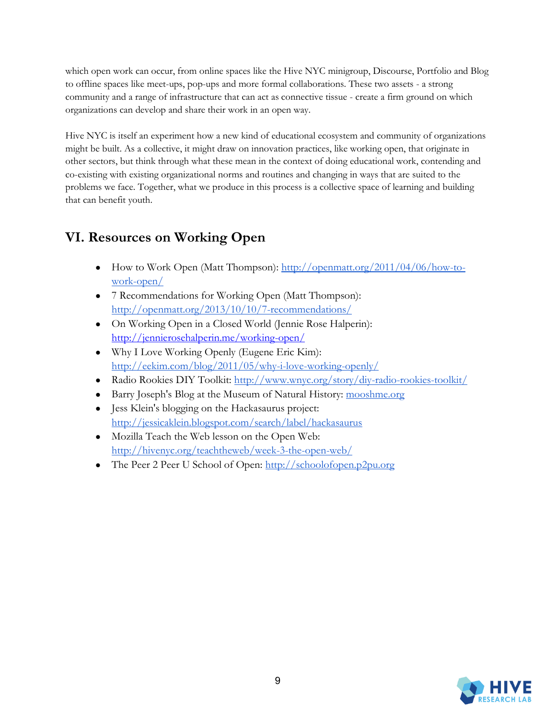which open work can occur, from online spaces like the Hive NYC minigroup, Discourse, Portfolio and Blog to offline spaces like meet-ups, pop-ups and more formal collaborations. These two assets - a strong community and a range of infrastructure that can act as connective tissue - create a firm ground on which organizations can develop and share their work in an open way.

Hive NYC is itself an experiment how a new kind of educational ecosystem and community of organizations might be built. As a collective, it might draw on innovation practices, like working open, that originate in other sectors, but think through what these mean in the context of doing educational work, contending and co-existing with existing organizational norms and routines and changing in ways that are suited to the problems we face. Together, what we produce in this process is a collective space of learning and building that can benefit youth.

# **VI. Resources on Working Open**

- How to Work Open (Matt Thompson): [http://openmatt.org/2011/04/06/how-to](http://openmatt.org/2011/04/06/how-to-work-open/)[work-open/](http://openmatt.org/2011/04/06/how-to-work-open/)
- 7 Recommendations for Working Open (Matt Thompson): <http://openmatt.org/2013/10/10/7-recommendations/>
- On Working Open in a Closed World (Jennie Rose Halperin): <http://jennierosehalperin.me/working-open/>
- Why I Love Working Openly (Eugene Eric Kim): <http://eekim.com/blog/2011/05/why-i-love-working-openly/>
- Radio Rookies DIY Toolkit:<http://www.wnyc.org/story/diy-radio-rookies-toolkit/>
- Barry Joseph's Blog at the Museum of Natural History: [mooshme.org](http://www.mooshme.org/)
- Jess Klein's blogging on the Hackasaurus project: <http://jessicaklein.blogspot.com/search/label/hackasaurus>
- Mozilla Teach the Web lesson on the Open Web: <http://hivenyc.org/teachtheweb/week-3-the-open-web/>
- The Peer 2 Peer U School of Open: [http://schoolofopen.p2pu.org](http://schoolofopen.p2pu.org/)